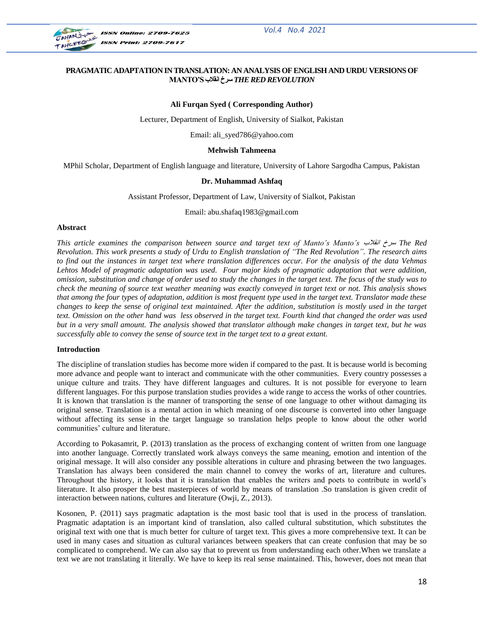

#### **PRAGMATIC ADAPTATION IN TRANSLATION: AN ANALYSIS OF ENGLISH AND URDU VERSIONS OF MANTO'S قالةًا طزخ** *THE RED REVOLUTION*

#### **Ali Furqan Syed ( Corresponding Author)**

Lecturer, Department of English, University of Sialkot, Pakistan

Email: ali\_syed786@yahoo.com

#### **Mehwish Tahmeena**

MPhil Scholar, Department of English language and literature, University of Lahore Sargodha Campus, Pakistan

#### **Dr. Muhammad Ashfaq**

Assistant Professor, Department of Law, University of Sialkot, Pakistan

Email: abu.shafaq1983@gmail.com

#### **Abstract**

*This article examines the comparison between source and target text of Manto's Manto's* قالةًا سزخ *The Red Revolution. This work presents a study of Urdu to English translation of "The Red Revolution". The research aims to find out the instances in target text where translation differences occur. For the analysis of the data Vehmas Lehtos Model of pragmatic adaptation was used. Four major kinds of pragmatic adaptation that were addition, omission, substitution and change of order used to study the changes in the target text. The focus of the study was to check the meaning of source text weather meaning was exactly conveyed in target text or not. This analysis shows that among the four types of adaptation, addition is most frequent type used in the target text. Translator made these changes to keep the sense of original text maintained. After the addition, substitution is mostly used in the target text. Omission on the other hand was less observed in the target text. Fourth kind that changed the order was used but in a very small amount. The analysis showed that translator although make changes in target text, but he was successfully able to convey the sense of source text in the target text to a great extant.*

#### **Introduction**

The discipline of translation studies has become more widen if compared to the past. It is because world is becoming more advance and people want to interact and communicate with the other communities. Every country possesses a unique culture and traits. They have different languages and cultures. It is not possible for everyone to learn different languages. For this purpose translation studies provides a wide range to access the works of other countries. It is known that translation is the manner of transporting the sense of one language to other without damaging its original sense. Translation is a mental action in which meaning of one discourse is converted into other language without affecting its sense in the target language so translation helps people to know about the other world communities' culture and literature.

According to Pokasamrit, P. (2013) translation as the process of exchanging content of written from one language into another language. Correctly translated work always conveys the same meaning, emotion and intention of the original message. It will also consider any possible alterations in culture and phrasing between the two languages. Translation has always been considered the main channel to convey the works of art, literature and cultures. Throughout the history, it looks that it is translation that enables the writers and poets to contribute in world"s literature. It also prosper the best masterpieces of world by means of translation .So translation is given credit of interaction between nations, cultures and literature (Owji, Z., 2013).

Kosonen, P. (2011) says pragmatic adaptation is the most basic tool that is used in the process of translation. Pragmatic adaptation is an important kind of translation, also called cultural substitution, which substitutes the original text with one that is much better for culture of target text. This gives a more comprehensive text. It can be used in many cases and situation as cultural variances between speakers that can create confusion that may be so complicated to comprehend. We can also say that to prevent us from understanding each other.When we translate a text we are not translating it literally. We have to keep its real sense maintained. This, however, does not mean that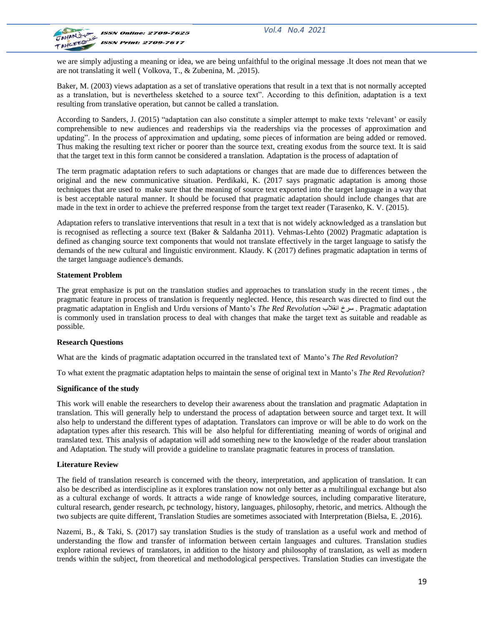

we are simply adjusting a meaning or idea, we are being unfaithful to the original message .It does not mean that we are not translating it well ( Volkova, T., & Zubenina, M. ,2015).

Baker, M. (2003) views adaptation as a set of translative operations that result in a text that is not normally accepted as a translation, but is nevertheless sketched to a source text". According to this definition, adaptation is a text resulting from translative operation, but cannot be called a translation.

According to Sanders, J. (2015) "adaptation can also constitute a simpler attempt to make texts "relevant" or easily comprehensible to new audiences and readerships via the readerships via the processes of approximation and updating". In the process of approximation and updating, some pieces of information are being added or removed. Thus making the resulting text richer or poorer than the source text, creating exodus from the source text. It is said that the target text in this form cannot be considered a translation. Adaptation is the process of adaptation of

The term pragmatic adaptation refers to such adaptations or changes that are made due to differences between the original and the new communicative situation. Perdikaki, K. (2017 says pragmatic adaptation is among those techniques that are used to make sure that the meaning of source text exported into the target language in a way that is best acceptable natural manner. It should be focused that pragmatic adaptation should include changes that are made in the text in order to achieve the preferred response from the target text reader (Tarasenko, K. V. (2015).

Adaptation refers to translative interventions that result in a text that is not widely acknowledged as a translation but is recognised as reflecting a source text (Baker & Saldanha 2011). Vehmas-Lehto (2002) Pragmatic adaptation is defined as changing source text components that would not translate effectively in the target language to satisfy the demands of the new cultural and linguistic environment. Klaudy. K (2017) defines pragmatic adaptation in terms of the target language audience's demands.

#### **Statement Problem**

The great emphasize is put on the translation studies and approaches to translation study in the recent times , the pragmatic feature in process of translation is frequently neglected. Hence, this research was directed to find out the pragmatic adaptation in English and Urdu versions of Manto"s *The Red Revolution* قالةًا سزخ . Pragmatic adaptation is commonly used in translation process to deal with changes that make the target text as suitable and readable as possible.

## **Research Questions**

What are the kinds of pragmatic adaptation occurred in the translated text of Manto"s *The Red Revolution*?

To what extent the pragmatic adaptation helps to maintain the sense of original text in Manto"s *The Red Revolution*?

## **Significance of the study**

This work will enable the researchers to develop their awareness about the translation and pragmatic Adaptation in translation. This will generally help to understand the process of adaptation between source and target text. It will also help to understand the different types of adaptation. Translators can improve or will be able to do work on the adaptation types after this research. This will be also helpful for differentiating meaning of words of original and translated text. This analysis of adaptation will add something new to the knowledge of the reader about translation and Adaptation. The study will provide a guideline to translate pragmatic features in process of translation.

## **Literature Review**

The field of translation research is concerned with the theory, interpretation, and application of translation. It can also be described as interdiscipline as it explores translation now not only better as a multilingual exchange but also as a cultural exchange of words. It attracts a wide range of knowledge sources, including comparative literature, cultural research, gender research, pc technology, history, languages, philosophy, rhetoric, and metrics. Although the two subjects are quite different, Translation Studies are sometimes associated with Interpretation (Bielsa, E. ,2016).

Nazemi, B., & Taki, S. (2017) say translation Studies is the study of translation as a useful work and method of understanding the flow and transfer of information between certain languages and cultures. Translation studies explore rational reviews of translators, in addition to the history and philosophy of translation, as well as modern trends within the subject, from theoretical and methodological perspectives. Translation Studies can investigate the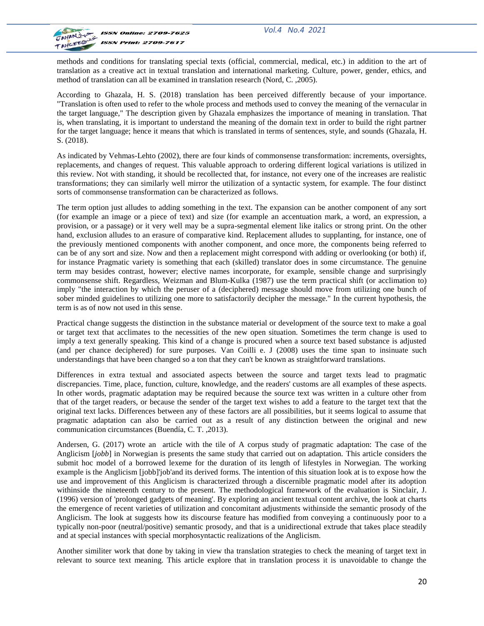

methods and conditions for translating special texts (official, commercial, medical, etc.) in addition to the art of translation as a creative act in textual translation and international marketing. Culture, power, gender, ethics, and method of translation can all be examined in translation research (Nord, C. ,2005).

According to Ghazala, H. S. (2018) translation has been perceived differently because of your importance. "Translation is often used to refer to the whole process and methods used to convey the meaning of the vernacular in the target language," The description given by Ghazala emphasizes the importance of meaning in translation. That is, when translating, it is important to understand the meaning of the domain text in order to build the right partner for the target language; hence it means that which is translated in terms of sentences, style, and sounds (Ghazala, H. S. (2018).

As indicated by Vehmas-Lehto (2002), there are four kinds of commonsense transformation: increments, oversights, replacements, and changes of request. This valuable approach to ordering different logical variations is utilized in this review. Not with standing, it should be recollected that, for instance, not every one of the increases are realistic transformations; they can similarly well mirror the utilization of a syntactic system, for example. The four distinct sorts of commonsense transformation can be characterized as follows.

The term option just alludes to adding something in the text. The expansion can be another component of any sort (for example an image or a piece of text) and size (for example an accentuation mark, a word, an expression, a provision, or a passage) or it very well may be a supra-segmental element like italics or strong print. On the other hand, exclusion alludes to an erasure of comparative kind. Replacement alludes to supplanting, for instance, one of the previously mentioned components with another component, and once more, the components being referred to can be of any sort and size. Now and then a replacement might correspond with adding or overlooking (or both) if, for instance Pragmatic variety is something that each (skilled) translator does in some circumstance. The genuine term may besides contrast, however; elective names incorporate, for example, sensible change and surprisingly commonsense shift. Regardless, Weizman and Blum-Kulka (1987) use the term practical shift (or acclimation to) imply "the interaction by which the peruser of a (deciphered) message should move from utilizing one bunch of sober minded guidelines to utilizing one more to satisfactorily decipher the message." In the current hypothesis, the term is as of now not used in this sense.

Practical change suggests the distinction in the substance material or development of the source text to make a goal or target text that acclimates to the necessities of the new open situation. Sometimes the term change is used to imply a text generally speaking. This kind of a change is procured when a source text based substance is adjusted (and per chance deciphered) for sure purposes. Van Coilli e. J (2008) uses the time span to insinuate such understandings that have been changed so a ton that they can't be known as straightforward translations.

Differences in extra textual and associated aspects between the source and target texts lead to pragmatic discrepancies. Time, place, function, culture, knowledge, and the readers' customs are all examples of these aspects. In other words, pragmatic adaptation may be required because the source text was written in a culture other from that of the target readers, or because the sender of the target text wishes to add a feature to the target text that the original text lacks. Differences between any of these factors are all possibilities, but it seems logical to assume that pragmatic adaptation can also be carried out as a result of any distinction between the original and new communication circumstances (Buendía, C. T. ,2013).

Andersen, G. (2017) wrote an article with the tile of A corpus study of pragmatic adaptation: The case of the Anglicism [*jobb*] in Norwegian is presents the same study that carried out on adaptation. This article considers the submit hoc model of a borrowed lexeme for the duration of its length of lifestyles in Norwegian. The working example is the Anglicism [jobb]'job'and its derived forms. The intention of this situation look at is to expose how the use and improvement of this Anglicism is characterized through a discernible pragmatic model after its adoption withinside the nineteenth century to the present. The methodological framework of the evaluation is Sinclair, J. (1996) version of 'prolonged gadgets of meaning'. By exploring an ancient textual content archive, the look at charts the emergence of recent varieties of utilization and concomitant adjustments withinside the semantic prosody of the Anglicism. The look at suggests how its discourse feature has modified from conveying a continuously poor to a typically non-poor (neutral/positive) semantic prosody, and that is a unidirectional extrude that takes place steadily and at special instances with special morphosyntactic realizations of the Anglicism.

Another similiter work that done by taking in view tha translation strategies to check the meaning of target text in relevant to source text meaning. This article explore that in translation process it is unavoidable to change the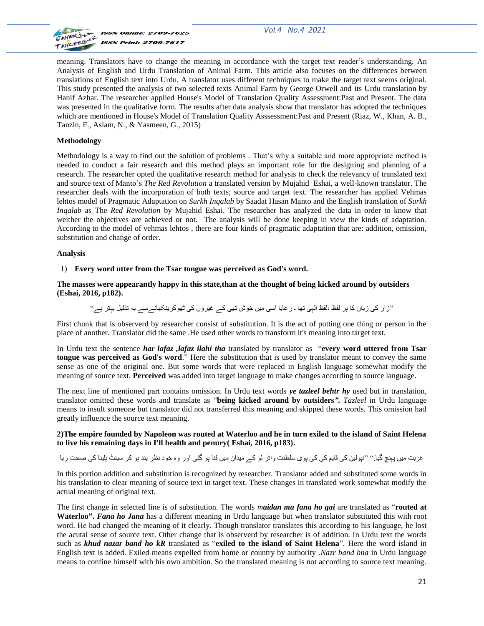

meaning. Translators have to change the meaning in accordance with the target text reader"s understanding. An Analysis of English and Urdu Translation of Animal Farm. This article also focuses on the differences between translations of English text into Urdu. A translator uses different techniques to make the target text seems original. This study presented the analysis of two selected texts Animal Farm by George Orwell and its Urdu translation by Hanif Azhar. The researcher applied House's Model of Translation Quality Assessment:Past and Present. The data was presented in the qualitative form. The results after data analysis show that translator has adopted the techniques which are mentioned in House's Model of Translation Quality Asssessment:Past and Present (Riaz, W., Khan, A. B., Tanzin, F., Aslam, N., & Yasmeen, G., 2015)

#### **Methodology**

Methodology is a way to find out the solution of problems . That"s why a suitable and more appropriate method is needed to conduct a fair research and this method plays an important role for the designing and planning of a research. The researcher opted the qualitative research method for analysis to check the relevancy of translated text and source text of Manto"s *The Red Revolution* a translated version by Mujahid Eshai, a well-known translator. The researcher deals with the incorporation of both texts; source and target text. The researcher has applied Vehmas lehtos model of Pragmatic Adaptation on *Surkh Inqalab* by Saadat Hasan Manto and the English translation of *Surkh Inqalab* as The *Red Revolution* by Mujahid Eshai. The researcher has analyzed the data in order to know that weither the objectives are achieved or not. The analysis will be done keeping in view the kinds of adaptation. According to the model of vehmas lehtos , there are four kinds of pragmatic adaptation that are: addition, omission, substitution and change of order.

#### **Analysis**

#### 1) **Every word utter from the Tsar tongue was perceived as God's word.**

**The masses were appearantly happy in this state,than at the thought of being kicked around by outsiders (Eshai, 2016, p182).**

"زار کی زبان کا ہر لفظ ،لفظ الہی تھا ۔ رعایا اسی میں خوش تھی کے غیروں کی ٹھوکرینکھانےسے یہ تذلیل ببتر ہے"

First chunk that is observerd by researcher consist of substitution. It is the act of putting one thing or person in the place of another. Translator did the same .He used other words to transform it's meaning into target text.

In Urdu text the sentence *har lafaz ,lafaz ilahi tha* translated by translator as "**every word uttered from Tsar tongue was perceived as God's word**." Here the substitution that is used by translator meant to convey the same sense as one of the original one. But some words that were replaced in English language somewhat modify the meaning of source text. **Perceived** was added into target language to make changes according to source language.

The next line of mentioned part contains omission. In Urdu text words *ye tazleel behtr hy* used but in translation, translator omitted these words and translate as "**being kicked around by outsiders***". Tazleel* in Urdu language means to insult someone but translator did not transferred this meaning and skipped these words. This omission had greatly influence the source text meaning.

#### **2)The empire founded by Napoleon was routed at Waterloo and he in turn exiled to the island of Saint Helena to live his remaining days in I'll health and penury( Eshai, 2016, p183).**

غربت میں پہنچ گیا.'' ''نیولین کی قابِم کی کی ہوی سلطنت واٹر لو کے میدان میں فنا ہو گئی اور وہ خود نظر بند ہو کر سینٹ ہلینا کی صحت رہا

In this portion addition and substitution is recognized by researcher. Translator added and substituted some words in his translation to clear meaning of source text in target text. These changes in translated work somewhat modify the actual meaning of original text.

The first change in selected line is of substitution. The words *maidan ma fana ho gai* are translated as "**routed at Waterloo".** *Fana ho Jana* has a different meaning in Urdu language but when translator substituted this with root word. He had changed the meaning of it clearly. Though translator translates this according to his language, he lost the acutal sense of source text. Other change that is observerd by researcher is of addition. In Urdu text the words such as *khud nazar band ho kR* translated as "**exiled to the island of Saint Helena**". Here the word island in English text is added. Exiled means expelled from home or country by authority .*Nazr band hna* in Urdu language means to confine himself with his own ambition. So the translated meaning is not according to source text meaning.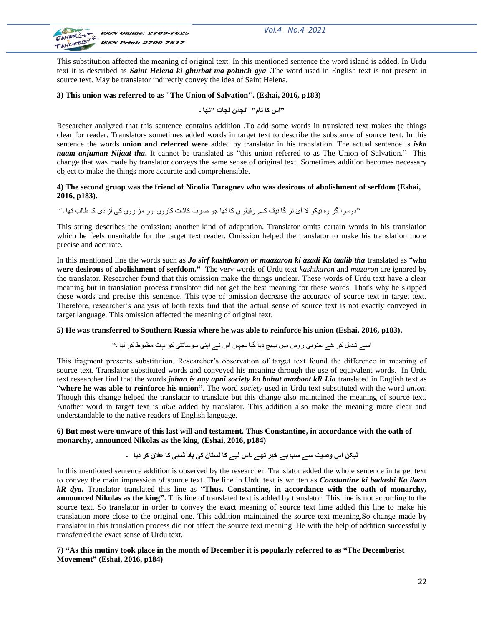

This substitution affected the meaning of original text. In this mentioned sentence the word island is added. In Urdu text it is described as *Saint Helena ki ghurbat ma pohnch gya* **.**The word used in English text is not present in source text. May be translator indirectly convey the idea of Saint Helena.

## **3) This union was referred to as "The Union of Salvation". (Eshai, 2016, p183)**

**"اص کب ًبم" اًجوي ًجبت "تھب ۔**

Researcher analyzed that this sentence contains addition .To add some words in translated text makes the things clear for reader. Translators sometimes added words in target text to describe the substance of source text. In this sentence the words u**nion and referred were** added by translator in his translation. The actual sentence is *iska naam anjuman Nijaat tha***.** It cannot be translated as "this union referred to as The Union of Salvation." This change that was made by translator conveys the same sense of original text. Sometimes addition becomes necessary object to make the things more accurate and comprehensible.

#### **4) The second gruop was the friend of Nicolia Turagnev who was desirous of abolishment of serfdom (Eshai, 2016, p183).**

''دوسرا گر وہ نیکو لا آئ تر گا نیف کے رفیقو ں کا تھا جو صرف کاشت کاروں اور مزاروں کی آزادی کا طالب تھا ۔''

This string describes the omission; another kind of adaptation. Translator omits certain words in his translation which he feels unsuitable for the target text reader. Omission helped the translator to make his translation more precise and accurate.

In this mentioned line the words such as *Jo sirf kashtkaron or maazaron ki azadi Ka taalib tha* translated as "**who were desirous of abolishment of serfdom."** The very words of Urdu text *kashtkaron* and *mazaron* are ignored by the translator. Researcher found that this omission make the things unclear. These words of Urdu text have a clear meaning but in translation process translator did not get the best meaning for these words. That's why he skipped these words and precise this sentence. This type of omission decrease the accuracy of source text in target text. Therefore, researcher"s analysis of both texts find that the actual sense of source text is not exactly conveyed in target language. This omission affected the meaning of original text.

## **5) He was transferred to Southern Russia where he was able to reinforce his union (Eshai, 2016, p183).**

اسے تبدیل کر کے جنوبی روس میں بیھج دیا گیا جہاں اس نے اپنی سوسائٹی کو بہت مظبوط کر لیا ۔"

This fragment presents substitution. Researcher"s observation of target text found the difference in meaning of source text. Translator substituted words and conveyed his meaning through the use of equivalent words. In Urdu text researcher find that the words *jahan is nay apni society ko bahut mazboot kR Lia* translated in English text as "**where he was able to reinforce his union"**. The word *society* used in Urdu text substituted with the word *union*. Though this change helped the translator to translate but this change also maintained the meaning of source text. Another word in target text is *able* added by translator. This addition also make the meaning more clear and understandable to the native readers of English language.

#### **6) But most were unware of this last will and testament. Thus Constantine, in accordance with the oath of monarchy, announced Nikolas as the king, (Eshai, 2016, p184)**

## **لیکي اص وصیت طے طت ثے خجز تھے ۔اص لیے کب ًظتبى کی ثبد شبہی کب عالى کز دیب ۔**

In this mentioned sentence addition is observed by the researcher. Translator added the whole sentence in target text to convey the main impression of source text .The line in Urdu text is written as *Constantine ki badashi Ka ilaan kR dya***.** Translator translated this line as "**Thus, Constantine, in accordance with the oath of monarchy, announced Nikolas as the king".** This line of translated text is added by translator. This line is not according to the source text. So translator in order to convey the exact meaning of source text lime added this line to make his translation more close to the original one. This addition maintained the source text meaning.So change made by translator in this translation process did not affect the source text meaning .He with the help of addition successfully transferred the exact sense of Urdu text.

**7) "As this mutiny took place in the month of December it is popularly referred to as "The Decemberist Movement" (Eshai, 2016, p184)**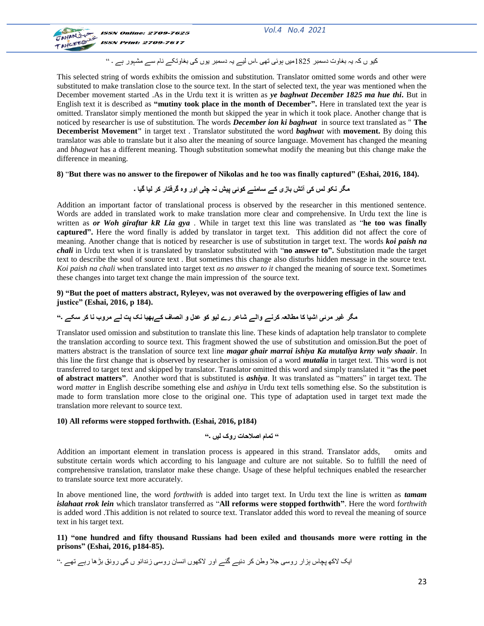

کیو ں کہ یہ بغاوت دسمبر 1825میں ہوئی تھی ۔اس لیے یہ دسمبر یوں کی بغاوتکے نام سے مشہور ہے ۔ "

This selected string of words exhibits the omission and substitution. Translator omitted some words and other were substituted to make translation close to the source text. In the start of selected text, the year was mentioned when the December movement started .As in the Urdu text it is written as *ye baghwat December 1825 ma hue thi***.** But in English text it is described as **"mutiny took place in the month of December".** Here in translated text the year is omitted. Translator simply mentioned the month but skipped the year in which it took place. Another change that is noticed by researcher is use of substitution. The words *December ion ki baghwat* in source text translated as " **The Decemberist Movement"** in target text . Translator substituted the word *baghwat* with **movement.** By doing this translator was able to translate but it also alter the meaning of source language. Movement has changed the meaning and *bhagwat* has a different meaning. Though substitution somewhat modify the meaning but this change make the difference in meaning.

#### **8)** "**But there was no answer to the firepower of Nikolas and he too was finally captured" (Eshai, 2016, 184).**

# **هگز ًکو لض کی آتش ثبسی کے طبهٌے کوئی پیش ًہ چلی اور وٍ گزفتبر کز لیب گیب ۔**

Addition an important factor of translational process is observed by the researcher in this mentioned sentence. Words are added in translated work to make translation more clear and comprehensive. In Urdu text the line is written as *or Woh giraftar kR Lia gya* . While in target text this line was translated as "**he too was finally captured".** Here the word finally is added by translator in target text. This addition did not affect the core of meaning. Another change that is noticed by researcher is use of substitution in target text. The words *koi paish na chali* in Urdu text when it is translated by translator substituted with "**no answer to".** Substitution made the target text to describe the soul of source text . But sometimes this change also disturbs hidden message in the source text*. Koi paish na chali* when translated into target text *as no answer to it* changed the meaning of source text. Sometimes these changes into target text change the main impression of the source text.

**9) "But the poet of matters abstract, Ryleyev, was not overawed by the overpowering effigies of law and justice" (Eshai, 2016, p 184).**

## **هگز غیز هزئی اشیب کب هطبلعہ کزًے والے شبعز رے لیو کو عذل و اًصبف کےثھیب ًک پت لے هزوة ًب کز طکے ۔"**

Translator used omission and substitution to translate this line. These kinds of adaptation help translator to complete the translation according to source text. This fragment showed the use of substitution and omission.But the poet of matters abstract is the translation of source text line *magar ghair marrai ishiya Ka mutaliya krny waly shaair*. In this line the first change that is observed by researcher is omission of a word *mutalia* in target text. This word is not transferred to target text and skipped by translator. Translator omitted this word and simply translated it "**as the poet of abstract matters"**. Another word that is substituted is *ashiya*. It was translated as "matters" in target text. The word *matter* in English describe something else and *ashiya* in Urdu text tells something else. So the substitution is made to form translation more close to the original one. This type of adaptation used in target text made the translation more relevant to source text.

#### **10) All reforms were stopped forthwith. (Eshai, 2016, p184)**

## **" توبم اصالحبت روک لیں ۔"**

Addition an important element in translation process is appeared in this strand. Translator adds, omits and substitute certain words which according to his language and culture are not suitable. So to fulfill the need of comprehensive translation, translator make these change. Usage of these helpful techniques enabled the researcher to translate source text more accurately.

In above mentioned line, the word *forthwith* is added into target text. In Urdu text the line is written as *tamam islahaat rrok lein* which translator transferred as "**All reforms were stopped forthwith"**. Here the word f*orthwith* is added word .This addition is not related to source text. Translator added this word to reveal the meaning of source text in his target text.

**11) "one hundred and fifty thousand Russians had been exiled and thousands more were rotting in the prisons" (Eshai, 2016, p184-85).**

ایک لاکھ پچاس ہزار روسی جلا وطن کر دئیے گئے اور لاکھوں انسان روسی زندانو ں کی رونق بڑھا رہے تھے ۔"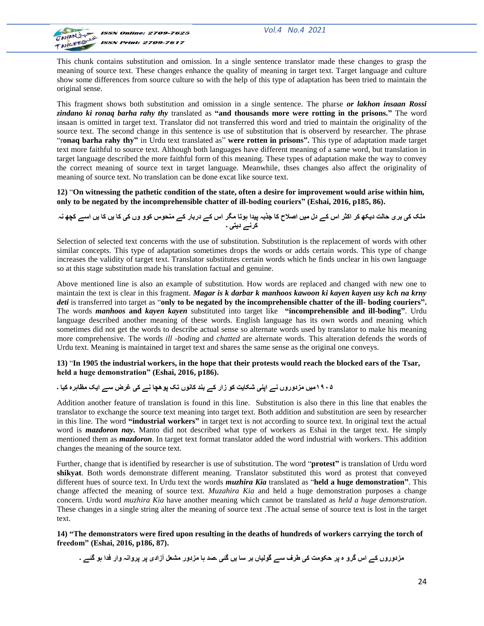

This chunk contains substitution and omission. In a single sentence translator made these changes to grasp the meaning of source text. These changes enhance the quality of meaning in target text. Target language and culture show some differences from source culture so with the help of this type of adaptation has been tried to maintain the original sense.

This fragment shows both substitution and omission in a single sentence. The pharse *or lakhon insaan Rossi zindano ki ronaq barha rahy thy* translated as **"and thousands more were rotting in the prisons."** The word insaan is omitted in target text. Translator did not transferred this word and tried to maintain the originality of the source text. The second change in this sentence is use of substitution that is observerd by researcher. The phrase "r**onaq barha rahy thy"** in Urdu text translated as" **were rotten in prisons".** This type of adaptation made target text more faithful to source text. Although both languages have different meaning of a same word, but translation in target language described the more faithful form of this meaning. These types of adaptation make the way to convey the correct meaning of source text in target language. Meanwhile, thses changes also affect the originality of meaning of source text. No translation can be done excat like source text.

**12)** "**On witnessing the pathetic condition of the state, often a desire for improvement would arise within him, only to be negated by the incomprehensible chatter of ill-boding couriers" (Eshai, 2016, p185, 86).**

**هلک کی ثزی حبلت دیکھ کز اکثز اص کے دل هیں اصالح کب جذثہ پیذا ہوتب هگز اص کے درثبر کے هٌحوص کوو وں کی کب یں کب یں اطے کچھ ًہ کزًے دیتی ۔**

Selection of selected text concerns with the use of substitution. Substitution is the replacement of words with other similar concepts. This type of adaptation sometimes drops the words or adds certain words. This type of change increases the validity of target text. Translator substitutes certain words which he finds unclear in his own language so at this stage substitution made his translation factual and genuine.

Above mentioned line is also an example of substitution. How words are replaced and changed with new one to maintain the text is clear in this fragment. *Magar is k darbar k manhoos kawoon ki kayen kayen usy kch na krny deti* is transferred into target as "**only to be negated by the incomprehensible chatter of the ill- boding couriers".** The words *manhoos* **and** *kayen kayen* substituted into target like **"incomprehensible and ill-boding"**. Urdu language described another meaning of these words. English language has its own words and meaning which sometimes did not get the words to describe actual sense so alternate words used by translator to make his meaning more comprehensive. The words *ill -boding* and *chatted* are alternate words. This alteration defends the words of Urdu text. Meaning is maintained in target text and shares the same sense as the original one conveys.

#### **13)** "**In 1905 the industrial workers, in the hope that their protests would reach the blocked ears of the Tsar, held a huge demonstration" (Eshai, 2016, p186).**

## **٠٩١۵هیں هشدوروں ًے اپٌی شکبیت کو سار کے ثٌذ کبًوں تک پوھچب ًے کی غزض طے ایک هظبہزٍ کیب ۔**

Addition another feature of translation is found in this line. Substitution is also there in this line that enables the translator to exchange the source text meaning into target text. Both addition and substitution are seen by researcher in this line. The word **"industrial workers"** in target text is not according to source text. In original text the actual word is *mazdoron nay.* Manto did not described what type of workers as Eshai in the target text. He simply mentioned them as *mazdoron*. In target text format translator added the word industrial with workers. This addition changes the meaning of the source text.

Further, change that is identified by researcher is use of substitution. The word "**protest"** is translation of Urdu word **shikyat**. Both words demonstrate different meaning. Translator substituted this word as protest that conveyed different hues of source text. In Urdu text the words *muzhira Kia* translated as "**held a huge demonstration"**. This change affected the meaning of source text. *Muzahira Kia* and held a huge demonstration purposes a change concern. Urdu word *muzhira Kia* have another meaning which cannot be translated as *held a huge demonstration*. These changes in a single string alter the meaning of source text .The actual sense of source text is lost in the target text.

**14) "The demonstrators were fired upon resulting in the deaths of hundreds of workers carrying the torch of freedom" (Eshai, 2016, p186, 87).**

**هشدوروں کے اص گزو ٍ پز حکوهت کی طزف طے گولیبں ثز طب یں گئی ۔صذ ہب هشدور هشعل آسادی پز پزواًہ وار فذا ہو گئے ۔**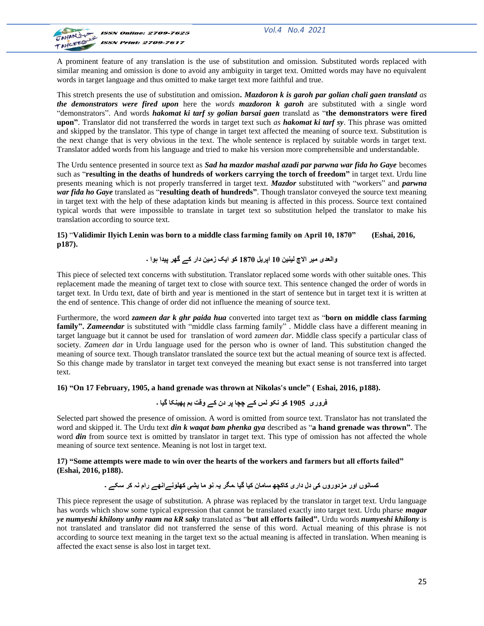*Vol.4 No.4 2021*



A prominent feature of any translation is the use of substitution and omission. Substituted words replaced with similar meaning and omission is done to avoid any ambiguity in target text. Omitted words may have no equivalent words in target language and thus omitted to make target text more faithful and true.

This stretch presents the use of substitution and omission**.** *Mazdoron k is garoh par golian chali gaen translatd as the demonstrators were fired upon* here the *words mazdoron k garoh* are substituted with a single word "demonstrators". And words *hakomat ki tarf sy golian barsai gaen* translatd as "**the demonstrators were fired upon"**. Translator did not transferred the words in target text such *as hakomat ki tarf sy*. This phrase was omitted and skipped by the translator. This type of change in target text affected the meaning of source text. Substitution is the next change that is very obvious in the text. The whole sentence is replaced by suitable words in target text. Translator added words from his language and tried to make his version more comprehensible and understandable.

The Urdu sentence presented in source text as *Sad ha mazdor mashal azadi par parwna war fida ho Gaye* becomes such as "**resulting in the deaths of hundreds of workers carrying the torch of freedom"** in target text. Urdu line presents meaning which is not properly transferred in target text. *Mazdor* substituted with "workers" and *parwna war fida ho Gaye* translated as "**resulting death of hundreds"**. Though translator conveyed the source text meaning in target text with the help of these adaptation kinds but meaning is affected in this process. Source text contained typical words that were impossible to translate in target text so substitution helped the translator to make his translation according to source text.

**15)** "**Validimir Ilyich Lenin was born to a middle class farming family on April 10, 1870" (Eshai, 2016, p187).**

# **والعذی هیز االچ لیٌیي 01 اپزیل 0781 کو ایک سهیي دار کے گھز پیذا ہوا ۔**

This piece of selected text concerns with substitution. Translator replaced some words with other suitable ones. This replacement made the meaning of target text to close with source text. This sentence changed the order of words in target text. In Urdu text, date of birth and year is mentioned in the start of sentence but in target text it is written at the end of sentence. This change of order did not influence the meaning of source text.

Furthermore, the word *zameen dar k ghr paida hua* converted into target text as "**born on middle class farming family".** *Zameendar* is substituted with "middle class farming family" . Middle class have a different meaning in target language but it cannot be used for translation of word *zameen dar*. Middle class specify a particular class of society*. Zameen dar* in Urdu language used for the person who is owner of land. This substitution changed the meaning of source text. Though translator translated the source text but the actual meaning of source text is affected. So this change made by translator in target text conveyed the meaning but exact sense is not transferred into target text.

**16) "On 17 February, 1905, a hand grenade was thrown at Nikolas's uncle" ( Eshai, 2016, p188).**

## **فزوری 0011 کو ًکو لض کے چچب پز دى کے وقت ثن پھیٌکب گیب ۔**

Selected part showed the presence of omission. A word is omitted from source text. Translator has not translated the word and skipped it. The Urdu text *din k waqat bam phenka gya* described as "**a hand grenade was thrown"**. The word *din* from source text is omitted by translator in target text. This type of omission has not affected the whole meaning of source text sentence. Meaning is not lost in target text.

## **17) "Some attempts were made to win over the hearts of the workers and farmers but all efforts failed" (Eshai, 2016, p188).**

# کسانوں اور مزدوروں ک*ی* دل داری کاکچھ سامان کیا گیا ۔مگر یہ نو ما یشی کھلونےانھے رام نہ کر سکے ۔

This piece represent the usage of substitution. A phrase was replaced by the translator in target text. Urdu language has words which show some typical expression that cannot be translated exactly into target text. Urdu pharse *magar ye numyeshi khilony unhy raam na kR saky* translated as "**but all efforts failed".** Urdu words *numyeshi khilony* is not translated and translator did not transferred the sense of this word. Actual meaning of this phrase is not according to source text meaning in the target text so the actual meaning is affected in translation. When meaning is affected the exact sense is also lost in target text.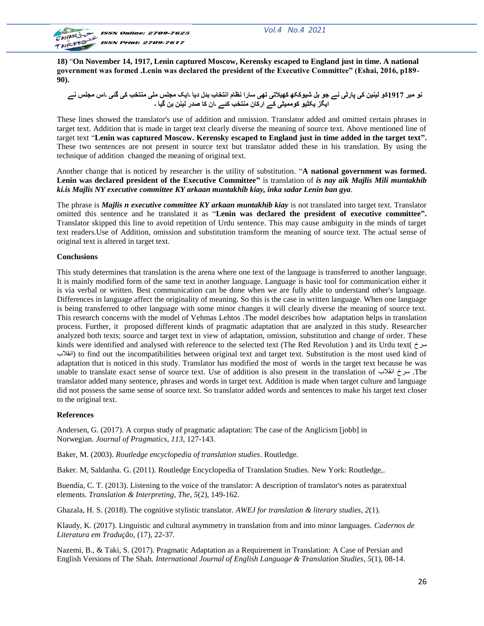

**18)** "**On November 14, 1917, Lenin captured Moscow, Kerensky escaped to England just in time. A national government was formed .Lenin was declared the president of the Executive Committee" (Eshai, 2016, p189- 90).**

نو مبر 1917کو لینین کی پارٹی نے جو بل شیوککھ کھیلاتی تھی سارا نظام انتخاب بدل دیا ۔ایک مجلس ملی منتخب کی گئی ۔اس مجلس نے **ایگش یکٹیو کوهویٹی کے ارکبى هٌتخت کئے ۔اى کب صذر لیٌي ثي گیب ۔**

These lines showed the translator's use of addition and omission. Translator added and omitted certain phrases in target text. Addition that is made in target text clearly diverse the meaning of source text. Above mentioned line of target text "**Lenin was captured Moscow. Kerensky escaped to England just in time added in the target text".**  These two sentences are not present in source text but translator added these in his translation. By using the technique of addition changed the meaning of original text.

Another change that is noticed by researcher is the utility of substitution. "**A national government was formed. Lenin was declared president of the Executive Committee"** is translation of *is nay aik Majlis Mili muntakhib ki.is Majlis NY executive committee KY arkaan muntakhib kiay, inka sadar Lenin ban gya.*

The phrase is *Majlis n executive committee KY arkaan muntakhib kiay* is not translated into target text. Translator omitted this sentence and he translated it as "**Lenin was declared the president of executive committee".** Translator skipped this line to avoid repetition of Urdu sentence. This may cause ambiguity in the minds of target text readers.Use of Addition, omission and substitution transform the meaning of source text. The actual sense of original text is altered in target text.

#### **Conclusions**

This study determines that translation is the arena where one text of the language is transferred to another language. It is mainly modified form of the same text in another language. Language is basic tool for communication either it is via verbal or written. Best communication can be done when we are fully able to understand other's language. Differences in language affect the originality of meaning. So this is the case in written language. When one language is being transferred to other language with some minor changes it will clearly diverse the meaning of source text. This research concerns with the model of Vehmas Lehtos .The model describes how adaptation helps in translation process. Further, it proposed different kinds of pragmatic adaptation that are analyzed in this study. Researcher analyzed both texts; source and target text in view of adaptation, omission, substitution and change of order. These kinds were identified and analysed with reference to the selected text (The Red Revolution ) and its Urdu text( سزخ انقلاب) to find out the incompatibilities between original text and target text. Substitution is the most used kind of adaptation that is noticed in this study. Translator has modified the most of words in the target text because he was unable to translate exact sense of source text. Use of addition is also present in the translation of  $\omega$ ia. The translator added many sentence, phrases and words in target text. Addition is made when target culture and language did not possess the same sense of source text. So translator added words and sentences to make his target text closer to the original text.

## **References**

Andersen, G. (2017). A corpus study of pragmatic adaptation: The case of the Anglicism [jobb] in Norwegian. *Journal of Pragmatics*, *113*, 127-143.

Baker, M. (2003). *Routledge encyclopedia of translation studies*. Routledge.

Baker. M, Saldanha. G. (2011). Routledge Encyclopedia of Translation Studies. New York: Routledge,.

Buendía, C. T. (2013). Listening to the voice of the translator: A description of translator's notes as paratextual elements. *Translation & Interpreting, The*, *5*(2), 149-162.

Ghazala, H. S. (2018). The cognitive stylistic translator. *AWEJ for translation & literary studies*, *2*(1).

Klaudy, K. (2017). Linguistic and cultural asymmetry in translation from and into minor languages. *Cadernos de Literatura em Tradução*, (17), 22-37.

Nazemi, B., & Taki, S. (2017). Pragmatic Adaptation as a Requirement in Translation: A Case of Persian and English Versions of The Shah. *International Journal of English Language & Translation Studies*, *5*(1), 08-14.